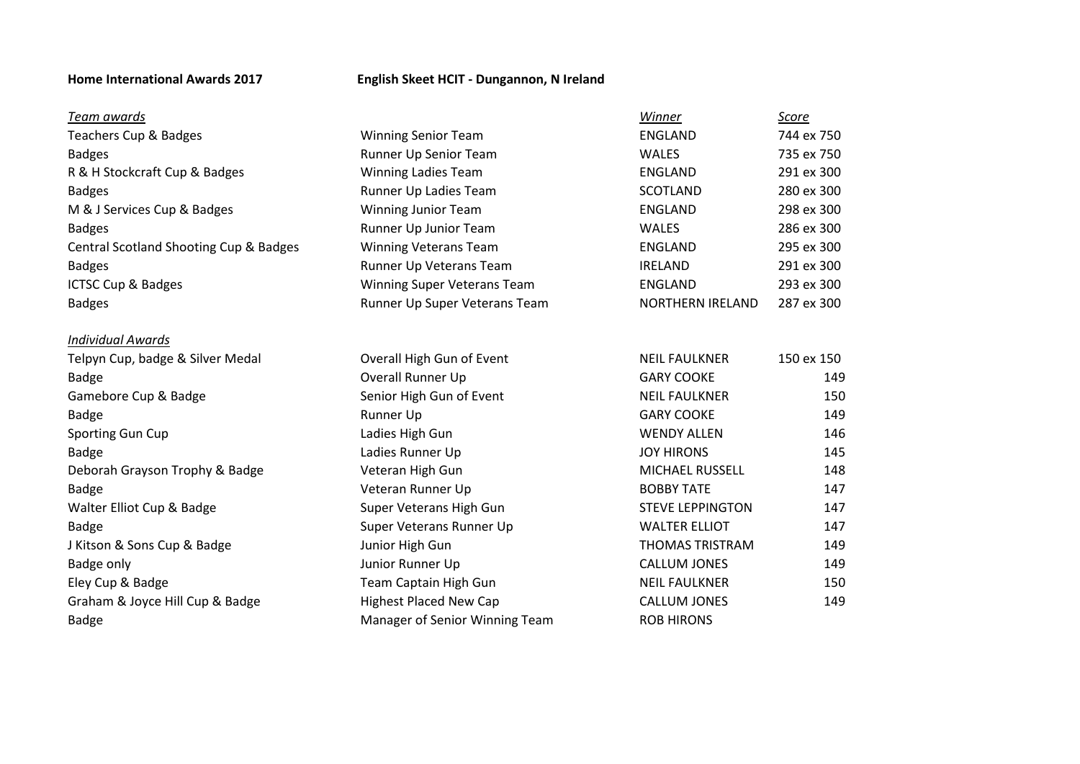### **Home International Awards 2017 English Skeet HCIT - Dungannon, N Ireland**

| Team awards                            |                                | Winner                  | Score      |
|----------------------------------------|--------------------------------|-------------------------|------------|
| Teachers Cup & Badges                  | <b>Winning Senior Team</b>     | <b>ENGLAND</b>          | 744 ex 750 |
| <b>Badges</b>                          | Runner Up Senior Team          | <b>WALES</b>            | 735 ex 750 |
| R & H Stockcraft Cup & Badges          | <b>Winning Ladies Team</b>     | ENGLAND                 | 291 ex 300 |
| <b>Badges</b>                          | Runner Up Ladies Team          | SCOTLAND                | 280 ex 300 |
| M & J Services Cup & Badges            | <b>Winning Junior Team</b>     | <b>ENGLAND</b>          | 298 ex 300 |
| <b>Badges</b>                          | Runner Up Junior Team          | <b>WALES</b>            | 286 ex 300 |
| Central Scotland Shooting Cup & Badges | <b>Winning Veterans Team</b>   | <b>ENGLAND</b>          | 295 ex 300 |
| <b>Badges</b>                          | Runner Up Veterans Team        | <b>IRELAND</b>          | 291 ex 300 |
| ICTSC Cup & Badges                     | Winning Super Veterans Team    | ENGLAND                 | 293 ex 300 |
| <b>Badges</b>                          | Runner Up Super Veterans Team  | NORTHERN IRELAND        | 287 ex 300 |
| <b>Individual Awards</b>               |                                |                         |            |
| Telpyn Cup, badge & Silver Medal       | Overall High Gun of Event      | <b>NEIL FAULKNER</b>    | 150 ex 150 |
| <b>Badge</b>                           | Overall Runner Up              | <b>GARY COOKE</b>       | 149        |
| Gamebore Cup & Badge                   | Senior High Gun of Event       | <b>NEIL FAULKNER</b>    | 150        |
| <b>Badge</b>                           | Runner Up                      | <b>GARY COOKE</b>       | 149        |
| Sporting Gun Cup                       | Ladies High Gun                | <b>WENDY ALLEN</b>      | 146        |
| <b>Badge</b>                           | Ladies Runner Up               | <b>JOY HIRONS</b>       | 145        |
| Deborah Grayson Trophy & Badge         | Veteran High Gun               | <b>MICHAEL RUSSELL</b>  | 148        |
| <b>Badge</b>                           | Veteran Runner Up              | <b>BOBBY TATE</b>       | 147        |
| Walter Elliot Cup & Badge              | Super Veterans High Gun        | <b>STEVE LEPPINGTON</b> | 147        |
| <b>Badge</b>                           | Super Veterans Runner Up       | <b>WALTER ELLIOT</b>    | 147        |
| J Kitson & Sons Cup & Badge            | Junior High Gun                | <b>THOMAS TRISTRAM</b>  | 149        |
| Badge only                             | Junior Runner Up               | CALLUM JONES            | 149        |
| Eley Cup & Badge                       | Team Captain High Gun          | <b>NEIL FAULKNER</b>    | 150        |
| Graham & Joyce Hill Cup & Badge        | <b>Highest Placed New Cap</b>  | <b>CALLUM JONES</b>     | 149        |
| <b>Badge</b>                           | Manager of Senior Winning Team | <b>ROB HIRONS</b>       |            |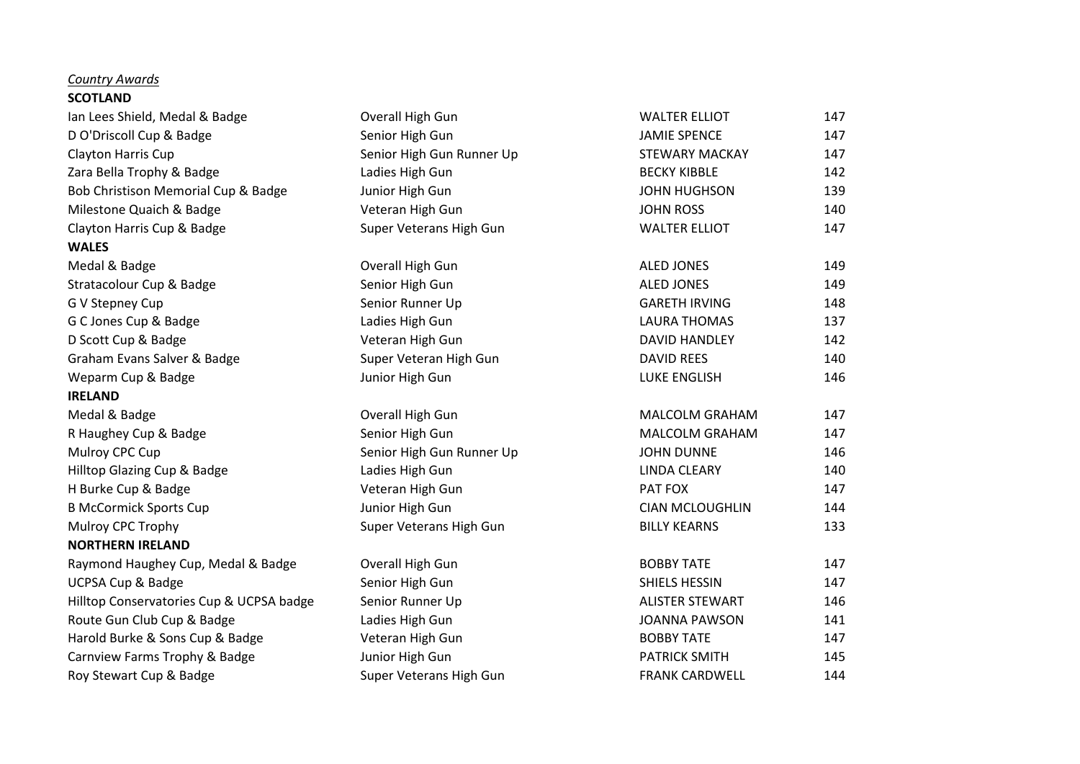### *Country Awards*

# **SCOTLAND**

| Ian Lees Shield, Medal & Badge           | Overall High Gun          | <b>WALTER ELLIOT</b>   | 147 |
|------------------------------------------|---------------------------|------------------------|-----|
| D O'Driscoll Cup & Badge                 | Senior High Gun           | <b>JAMIE SPENCE</b>    | 147 |
| Clayton Harris Cup                       | Senior High Gun Runner Up | <b>STEWARY MACKAY</b>  | 147 |
| Zara Bella Trophy & Badge                | Ladies High Gun           | <b>BECKY KIBBLE</b>    | 142 |
| Bob Christison Memorial Cup & Badge      | Junior High Gun           | <b>JOHN HUGHSON</b>    | 139 |
| Milestone Quaich & Badge                 | Veteran High Gun          | <b>JOHN ROSS</b>       | 140 |
| Clayton Harris Cup & Badge               | Super Veterans High Gun   | <b>WALTER ELLIOT</b>   | 147 |
| <b>WALES</b>                             |                           |                        |     |
| Medal & Badge                            | Overall High Gun          | <b>ALED JONES</b>      | 149 |
| Stratacolour Cup & Badge                 | Senior High Gun           | <b>ALED JONES</b>      | 149 |
| G V Stepney Cup                          | Senior Runner Up          | <b>GARETH IRVING</b>   | 148 |
| G C Jones Cup & Badge                    | Ladies High Gun           | <b>LAURA THOMAS</b>    | 137 |
| D Scott Cup & Badge                      | Veteran High Gun          | DAVID HANDLEY          | 142 |
| Graham Evans Salver & Badge              | Super Veteran High Gun    | <b>DAVID REES</b>      | 140 |
| Weparm Cup & Badge                       | Junior High Gun           | <b>LUKE ENGLISH</b>    | 146 |
| <b>IRELAND</b>                           |                           |                        |     |
| Medal & Badge                            | Overall High Gun          | MALCOLM GRAHAM         | 147 |
| R Haughey Cup & Badge                    | Senior High Gun           | MALCOLM GRAHAM         | 147 |
| Mulroy CPC Cup                           | Senior High Gun Runner Up | <b>JOHN DUNNE</b>      | 146 |
| Hilltop Glazing Cup & Badge              | Ladies High Gun           | <b>LINDA CLEARY</b>    | 140 |
| H Burke Cup & Badge                      | Veteran High Gun          | PAT FOX                | 147 |
| <b>B McCormick Sports Cup</b>            | Junior High Gun           | <b>CIAN MCLOUGHLIN</b> | 144 |
| Mulroy CPC Trophy                        | Super Veterans High Gun   | <b>BILLY KEARNS</b>    | 133 |
| <b>NORTHERN IRELAND</b>                  |                           |                        |     |
| Raymond Haughey Cup, Medal & Badge       | Overall High Gun          | <b>BOBBY TATE</b>      | 147 |
| <b>UCPSA Cup &amp; Badge</b>             | Senior High Gun           | SHIELS HESSIN          | 147 |
| Hilltop Conservatories Cup & UCPSA badge | Senior Runner Up          | <b>ALISTER STEWART</b> | 146 |
| Route Gun Club Cup & Badge               | Ladies High Gun           | <b>JOANNA PAWSON</b>   | 141 |
| Harold Burke & Sons Cup & Badge          | Veteran High Gun          | <b>BOBBY TATE</b>      | 147 |
| Carnview Farms Trophy & Badge            | Junior High Gun           | <b>PATRICK SMITH</b>   | 145 |
| Roy Stewart Cup & Badge                  | Super Veterans High Gun   | <b>FRANK CARDWELL</b>  | 144 |